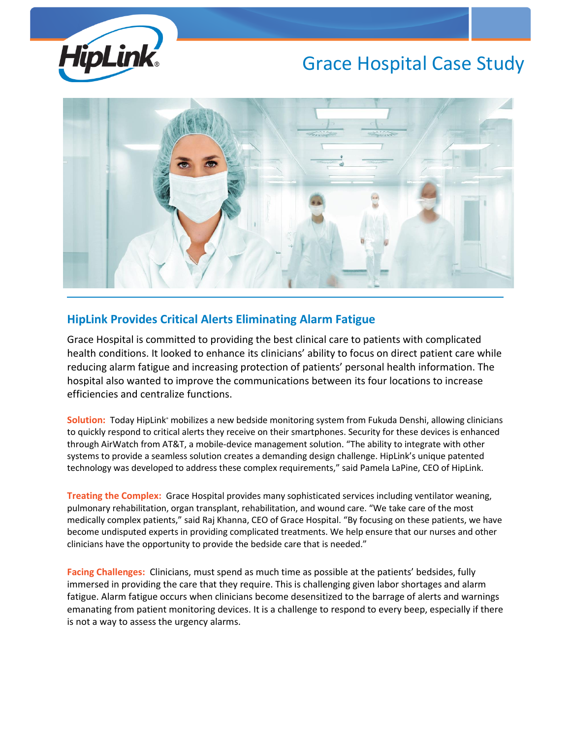

## Grace Hospital Case Study



## **HipLink Provides Critical Alerts Eliminating Alarm Fatigue**

Grace Hospital is committed to providing the best clinical care to patients with complicated health conditions. It looked to enhance its clinicians' ability to focus on direct patient care while reducing alarm fatigue and increasing protection of patients' personal health information. The hospital also wanted to improve the communications between its four locations to increase efficiencies and centralize functions.

Solution: Today HipLink<sup>®</sup> mobilizes a new bedside monitoring system from Fukuda Denshi, allowing clinicians to quickly respond to critical alerts they receive on their smartphones. Security for these devices is enhanced through AirWatch from AT&T, a mobile-device management solution. "The ability to integrate with other systems to provide a seamless solution creates a demanding design challenge. HipLink's unique patented technology was developed to address these complex requirements," said Pamela LaPine, CEO of HipLink.

**Treating the Complex:** Grace Hospital provides many sophisticated services including ventilator weaning, pulmonary rehabilitation, organ transplant, rehabilitation, and wound care. "We take care of the most medically complex patients," said Raj Khanna, CEO of Grace Hospital. "By focusing on these patients, we have become undisputed experts in providing complicated treatments. We help ensure that our nurses and other clinicians have the opportunity to provide the bedside care that is needed."

**Facing Challenges:** Clinicians, must spend as much time as possible at the patients' bedsides, fully immersed in providing the care that they require. This is challenging given labor shortages and alarm fatigue. Alarm fatigue occurs when clinicians become desensitized to the barrage of alerts and warnings emanating from patient monitoring devices. It is a challenge to respond to every beep, especially if there is not a way to assess the urgency alarms.